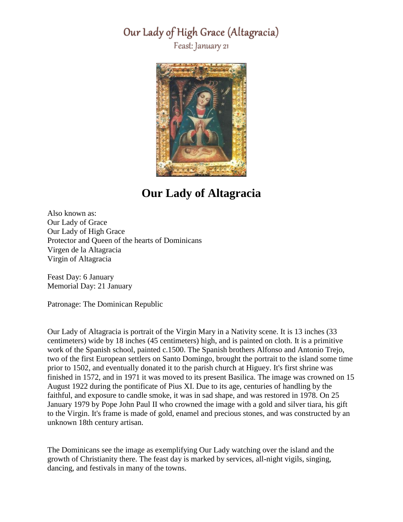#### Our Lady of High Grace (Altagracia)

Feast: January 21



## **Our Lady of Altagracia**

Also known as: Our Lady of Grace Our Lady of High Grace Protector and Queen of the hearts of Dominicans Virgen de la Altagracia Virgin of Altagracia

Feast Day: 6 January Memorial Day: 21 January

Patronage: The Dominican Republic

Our Lady of Altagracia is portrait of the Virgin Mary in a Nativity scene. It is 13 inches (33 centimeters) wide by 18 inches (45 centimeters) high, and is painted on cloth. It is a primitive work of the Spanish school, painted c.1500. The Spanish brothers Alfonso and Antonio Trejo, two of the first European settlers on Santo Domingo, brought the portrait to the island some time prior to 1502, and eventually donated it to the parish church at Higuey. It's first shrine was finished in 1572, and in 1971 it was moved to its present Basilica. The image was crowned on 15 August 1922 during the pontificate of Pius XI. Due to its age, centuries of handling by the faithful, and exposure to candle smoke, it was in sad shape, and was restored in 1978. On 25 January 1979 by Pope John Paul II who crowned the image with a gold and silver tiara, his gift to the Virgin. It's frame is made of gold, enamel and precious stones, and was constructed by an unknown 18th century artisan.

The Dominicans see the image as exemplifying Our Lady watching over the island and the growth of Christianity there. The feast day is marked by services, all-night vigils, singing, dancing, and festivals in many of the towns.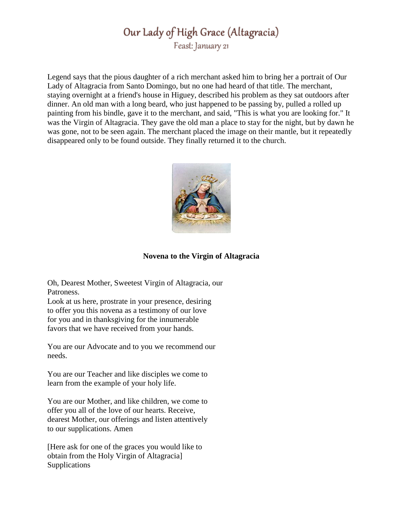## Our Lady of High Grace (Altagracia) Feast: January 21

Legend says that the pious daughter of a rich merchant asked him to bring her a portrait of Our Lady of Altagracia from Santo Domingo, but no one had heard of that title. The merchant, staying overnight at a friend's house in Higuey, described his problem as they sat outdoors after dinner. An old man with a long beard, who just happened to be passing by, pulled a rolled up painting from his bindle, gave it to the merchant, and said, "This is what you are looking for." It was the Virgin of Altagracia. They gave the old man a place to stay for the night, but by dawn he was gone, not to be seen again. The merchant placed the image on their mantle, but it repeatedly disappeared only to be found outside. They finally returned it to the church.



#### **Novena to the Virgin of Altagracia**

Oh, Dearest Mother, Sweetest Virgin of Altagracia, our Patroness.

Look at us here, prostrate in your presence, desiring to offer you this novena as a testimony of our love for you and in thanksgiving for the innumerable favors that we have received from your hands.

You are our Advocate and to you we recommend our needs.

You are our Teacher and like disciples we come to learn from the example of your holy life.

You are our Mother, and like children, we come to offer you all of the love of our hearts. Receive, dearest Mother, our offerings and listen attentively to our supplications. Amen

[Here ask for one of the graces you would like to obtain from the Holy Virgin of Altagracia] **Supplications**